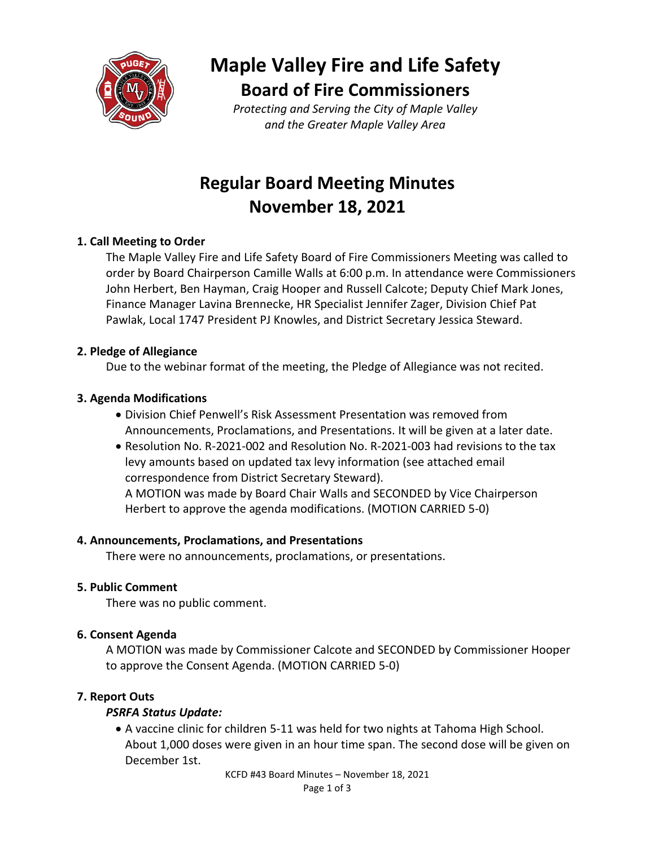

**Maple Valley Fire and Life Safety Board of Fire Commissioners**

*Protecting and Serving the City of Maple Valley and the Greater Maple Valley Area*

# **Regular Board Meeting Minutes November 18, 2021**

## **1. Call Meeting to Order**

The Maple Valley Fire and Life Safety Board of Fire Commissioners Meeting was called to order by Board Chairperson Camille Walls at 6:00 p.m. In attendance were Commissioners John Herbert, Ben Hayman, Craig Hooper and Russell Calcote; Deputy Chief Mark Jones, Finance Manager Lavina Brennecke, HR Specialist Jennifer Zager, Division Chief Pat Pawlak, Local 1747 President PJ Knowles, and District Secretary Jessica Steward.

### **2. Pledge of Allegiance**

Due to the webinar format of the meeting, the Pledge of Allegiance was not recited.

### **3. Agenda Modifications**

- Division Chief Penwell's Risk Assessment Presentation was removed from Announcements, Proclamations, and Presentations. It will be given at a later date.
- Resolution No. R-2021-002 and Resolution No. R-2021-003 had revisions to the tax levy amounts based on updated tax levy information (see attached email correspondence from District Secretary Steward).

A MOTION was made by Board Chair Walls and SECONDED by Vice Chairperson Herbert to approve the agenda modifications. (MOTION CARRIED 5-0)

### **4. Announcements, Proclamations, and Presentations**

There were no announcements, proclamations, or presentations.

#### **5. Public Comment**

There was no public comment.

### **6. Consent Agenda**

A MOTION was made by Commissioner Calcote and SECONDED by Commissioner Hooper to approve the Consent Agenda. (MOTION CARRIED 5-0)

### **7. Report Outs**

### *PSRFA Status Update:*

• A vaccine clinic for children 5-11 was held for two nights at Tahoma High School. About 1,000 doses were given in an hour time span. The second dose will be given on December 1st.

KCFD #43 Board Minutes – November 18, 2021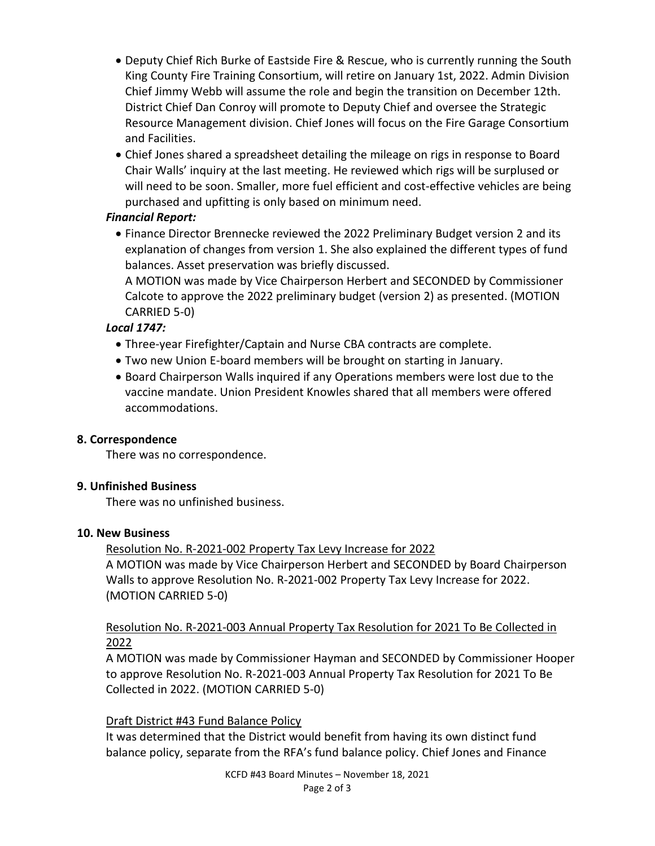- Deputy Chief Rich Burke of Eastside Fire & Rescue, who is currently running the South King County Fire Training Consortium, will retire on January 1st, 2022. Admin Division Chief Jimmy Webb will assume the role and begin the transition on December 12th. District Chief Dan Conroy will promote to Deputy Chief and oversee the Strategic Resource Management division. Chief Jones will focus on the Fire Garage Consortium and Facilities.
- Chief Jones shared a spreadsheet detailing the mileage on rigs in response to Board Chair Walls' inquiry at the last meeting. He reviewed which rigs will be surplused or will need to be soon. Smaller, more fuel efficient and cost-effective vehicles are being purchased and upfitting is only based on minimum need.

## *Financial Report:*

• Finance Director Brennecke reviewed the 2022 Preliminary Budget version 2 and its explanation of changes from version 1. She also explained the different types of fund balances. Asset preservation was briefly discussed.

A MOTION was made by Vice Chairperson Herbert and SECONDED by Commissioner Calcote to approve the 2022 preliminary budget (version 2) as presented. (MOTION CARRIED 5-0)

## *Local 1747:*

- Three-year Firefighter/Captain and Nurse CBA contracts are complete.
- Two new Union E-board members will be brought on starting in January.
- Board Chairperson Walls inquired if any Operations members were lost due to the vaccine mandate. Union President Knowles shared that all members were offered accommodations.

### **8. Correspondence**

There was no correspondence.

### **9. Unfinished Business**

There was no unfinished business.

### **10. New Business**

Resolution No. R-2021-002 Property Tax Levy Increase for 2022 A MOTION was made by Vice Chairperson Herbert and SECONDED by Board Chairperson Walls to approve Resolution No. R-2021-002 Property Tax Levy Increase for 2022. (MOTION CARRIED 5-0)

## Resolution No. R-2021-003 Annual Property Tax Resolution for 2021 To Be Collected in 2022

A MOTION was made by Commissioner Hayman and SECONDED by Commissioner Hooper to approve Resolution No. R-2021-003 Annual Property Tax Resolution for 2021 To Be Collected in 2022. (MOTION CARRIED 5-0)

## Draft District #43 Fund Balance Policy

It was determined that the District would benefit from having its own distinct fund balance policy, separate from the RFA's fund balance policy. Chief Jones and Finance

> KCFD #43 Board Minutes – November 18, 2021 Page 2 of 3